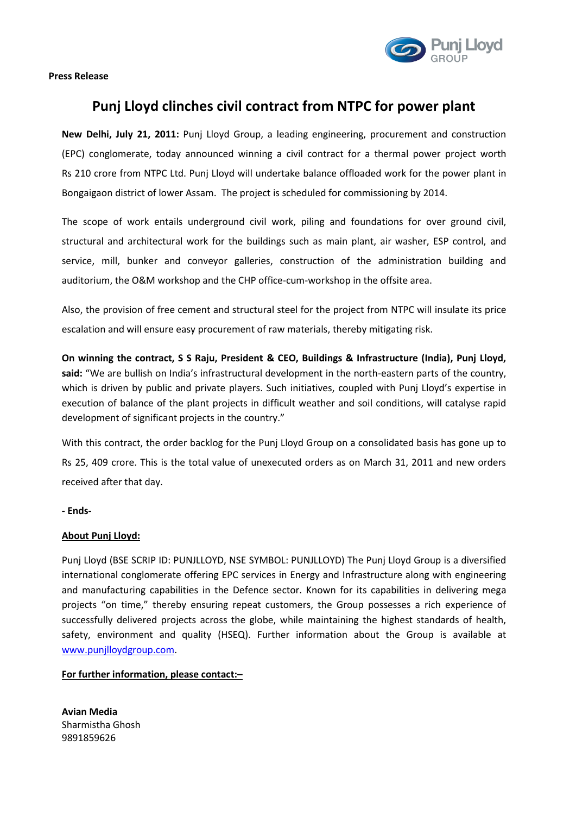

**Press Release**

## **Punj Lloyd clinches civil contract from NTPC for power plant**

**New Delhi, July 21, 2011:** Punj Lloyd Group, a leading engineering, procurement and construction (EPC) conglomerate, today announced winning a civil contract for a thermal power project worth Rs 210 crore from NTPC Ltd. Punj Lloyd will undertake balance offloaded work for the power plant in Bongaigaon district of lower Assam. The project is scheduled for commissioning by 2014.

The scope of work entails underground civil work, piling and foundations for over ground civil, structural and architectural work for the buildings such as main plant, air washer, ESP control, and service, mill, bunker and conveyor galleries, construction of the administration building and auditorium, the O&M workshop and the CHP office-cum-workshop in the offsite area.

Also, the provision of free cement and structural steel for the project from NTPC will insulate its price escalation and will ensure easy procurement of raw materials, thereby mitigating risk.

**On winning the contract, S S Raju, President & CEO, Buildings & Infrastructure (India), Punj Lloyd, said:** "We are bullish on India's infrastructural development in the north-eastern parts of the country, which is driven by public and private players. Such initiatives, coupled with Punj Lloyd's expertise in execution of balance of the plant projects in difficult weather and soil conditions, will catalyse rapid development of significant projects in the country."

With this contract, the order backlog for the Punj Lloyd Group on a consolidated basis has gone up to Rs 25, 409 crore. This is the total value of unexecuted orders as on March 31, 2011 and new orders received after that day.

## **- Ends-**

## **About Punj Lloyd:**

Punj Lloyd (BSE SCRIP ID: PUNJLLOYD, NSE SYMBOL: PUNJLLOYD) The Punj Lloyd Group is a diversified international conglomerate offering EPC services in Energy and Infrastructure along with engineering and manufacturing capabilities in the Defence sector. Known for its capabilities in delivering mega projects "on time," thereby ensuring repeat customers, the Group possesses a rich experience of successfully delivered projects across the globe, while maintaining the highest standards of health, safety, environment and quality (HSEQ). Further information about the Group is available at www.punjlloydgroup.com.

## **For further information, please contact:–**

**Avian Media** Sharmistha Ghosh 9891859626